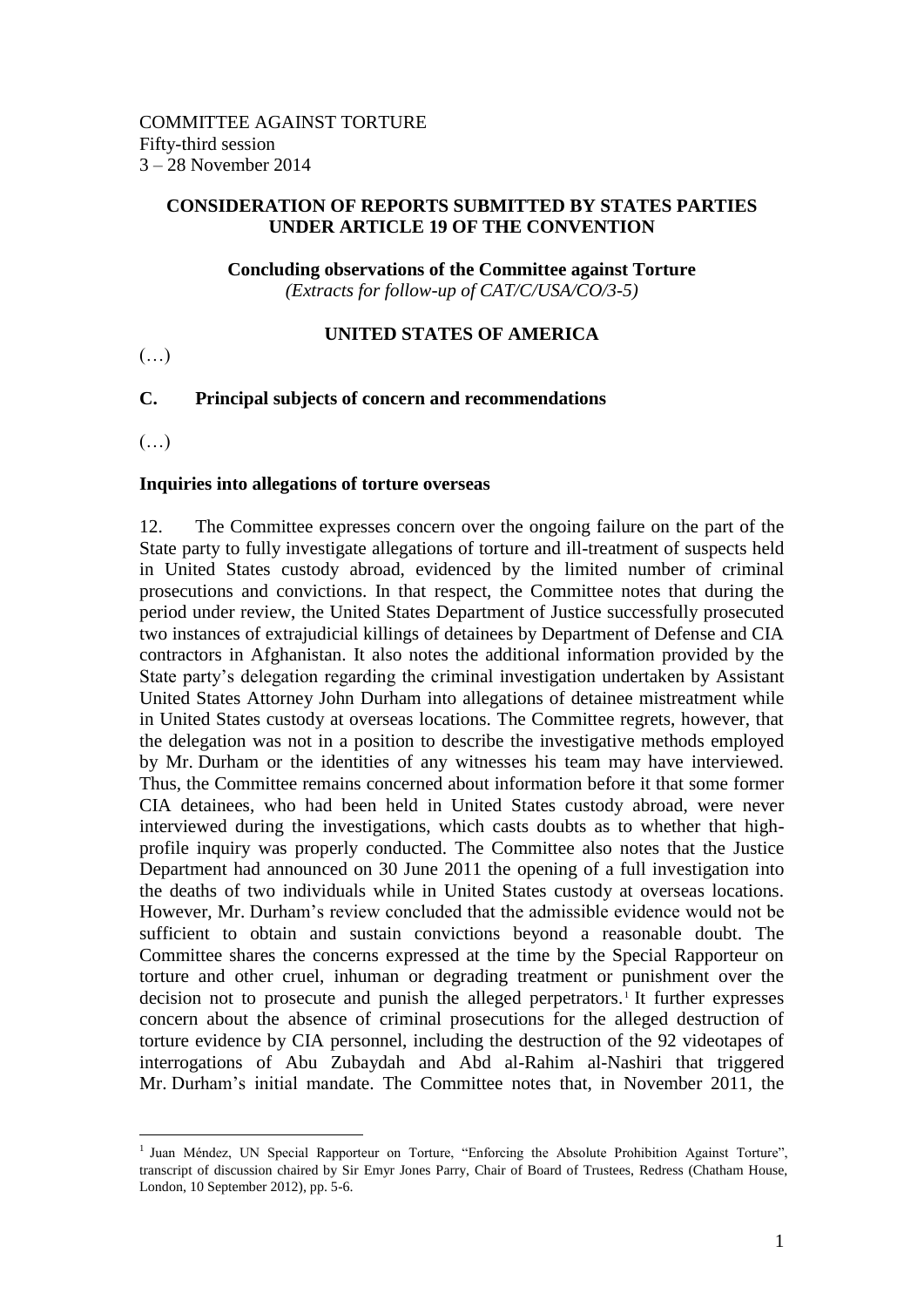#### **CONSIDERATION OF REPORTS SUBMITTED BY STATES PARTIES UNDER ARTICLE 19 OF THE CONVENTION**

# **Concluding observations of the Committee against Torture**

*(Extracts for follow-up of CAT/C/USA/CO/3-5)*

## **UNITED STATES OF AMERICA**

 $(\ldots)$ 

## **C. Principal subjects of concern and recommendations**

(…)

 $\overline{a}$ 

#### **Inquiries into allegations of torture overseas**

12. The Committee expresses concern over the ongoing failure on the part of the State party to fully investigate allegations of torture and ill-treatment of suspects held in United States custody abroad, evidenced by the limited number of criminal prosecutions and convictions. In that respect, the Committee notes that during the period under review, the United States Department of Justice successfully prosecuted two instances of extrajudicial killings of detainees by Department of Defense and CIA contractors in Afghanistan. It also notes the additional information provided by the State party's delegation regarding the criminal investigation undertaken by Assistant United States Attorney John Durham into allegations of detainee mistreatment while in United States custody at overseas locations. The Committee regrets, however, that the delegation was not in a position to describe the investigative methods employed by Mr. Durham or the identities of any witnesses his team may have interviewed. Thus, the Committee remains concerned about information before it that some former CIA detainees, who had been held in United States custody abroad, were never interviewed during the investigations, which casts doubts as to whether that highprofile inquiry was properly conducted. The Committee also notes that the Justice Department had announced on 30 June 2011 the opening of a full investigation into the deaths of two individuals while in United States custody at overseas locations. However, Mr. Durham's review concluded that the admissible evidence would not be sufficient to obtain and sustain convictions beyond a reasonable doubt. The Committee shares the concerns expressed at the time by the Special Rapporteur on torture and other cruel, inhuman or degrading treatment or punishment over the decision not to prosecute and punish the alleged perpetrators.<sup>1</sup> It further expresses concern about the absence of criminal prosecutions for the alleged destruction of torture evidence by CIA personnel, including the destruction of the 92 videotapes of interrogations of Abu Zubaydah and Abd al-Rahim al-Nashiri that triggered Mr. Durham's initial mandate. The Committee notes that, in November 2011, the

<sup>&</sup>lt;sup>1</sup> Juan Méndez, UN Special Rapporteur on Torture, "Enforcing the Absolute Prohibition Against Torture", transcript of discussion chaired by Sir Emyr Jones Parry, Chair of Board of Trustees, Redress (Chatham House, London, 10 September 2012), pp. 5-6.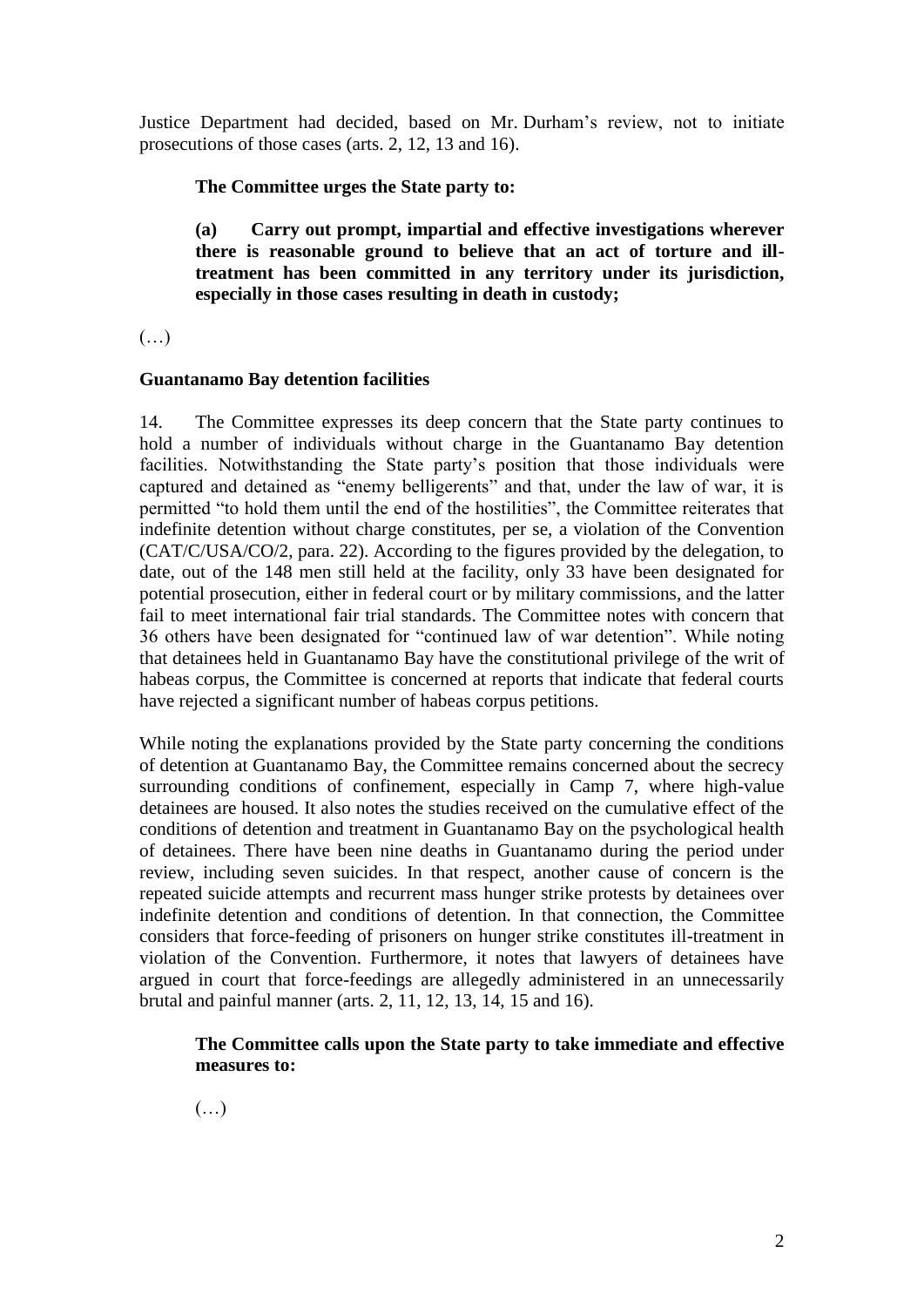Justice Department had decided, based on Mr. Durham's review, not to initiate prosecutions of those cases (arts. 2, 12, 13 and 16).

## **The Committee urges the State party to:**

**(a) Carry out prompt, impartial and effective investigations wherever there is reasonable ground to believe that an act of torture and illtreatment has been committed in any territory under its jurisdiction, especially in those cases resulting in death in custody;**

 $(\ldots)$ 

#### **Guantanamo Bay detention facilities**

14. The Committee expresses its deep concern that the State party continues to hold a number of individuals without charge in the Guantanamo Bay detention facilities. Notwithstanding the State party's position that those individuals were captured and detained as "enemy belligerents" and that, under the law of war, it is permitted "to hold them until the end of the hostilities", the Committee reiterates that indefinite detention without charge constitutes, per se, a violation of the Convention (CAT/C/USA/CO/2, para. 22). According to the figures provided by the delegation, to date, out of the 148 men still held at the facility, only 33 have been designated for potential prosecution, either in federal court or by military commissions, and the latter fail to meet international fair trial standards. The Committee notes with concern that 36 others have been designated for "continued law of war detention". While noting that detainees held in Guantanamo Bay have the constitutional privilege of the writ of habeas corpus, the Committee is concerned at reports that indicate that federal courts have rejected a significant number of habeas corpus petitions.

While noting the explanations provided by the State party concerning the conditions of detention at Guantanamo Bay, the Committee remains concerned about the secrecy surrounding conditions of confinement, especially in Camp 7, where high-value detainees are housed. It also notes the studies received on the cumulative effect of the conditions of detention and treatment in Guantanamo Bay on the psychological health of detainees. There have been nine deaths in Guantanamo during the period under review, including seven suicides. In that respect, another cause of concern is the repeated suicide attempts and recurrent mass hunger strike protests by detainees over indefinite detention and conditions of detention. In that connection, the Committee considers that force-feeding of prisoners on hunger strike constitutes ill-treatment in violation of the Convention. Furthermore, it notes that lawyers of detainees have argued in court that force-feedings are allegedly administered in an unnecessarily brutal and painful manner (arts. 2, 11, 12, 13, 14, 15 and 16).

## **The Committee calls upon the State party to take immediate and effective measures to:**

 $(\ldots)$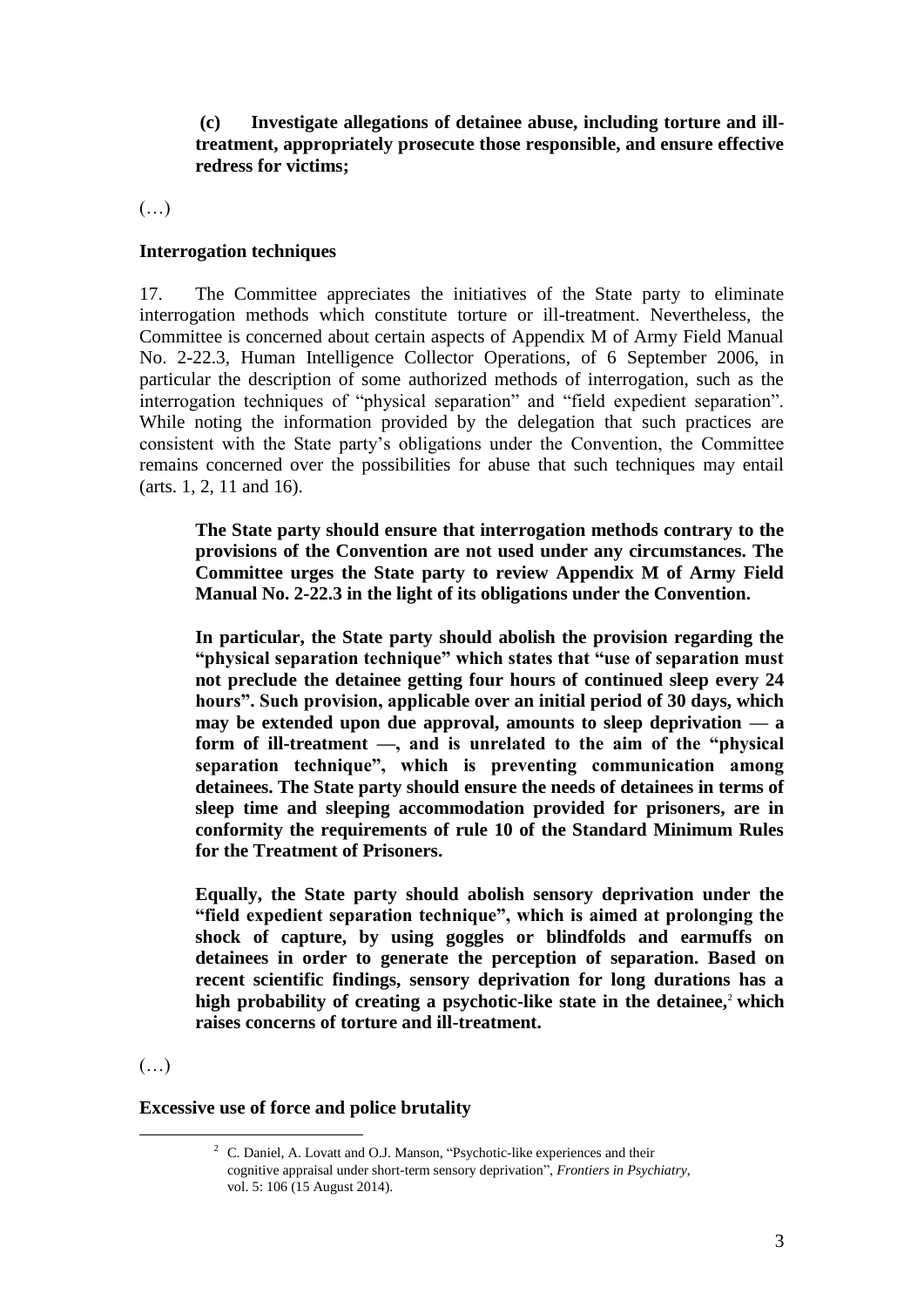**(c) Investigate allegations of detainee abuse, including torture and illtreatment, appropriately prosecute those responsible, and ensure effective redress for victims;**

(…)

## **Interrogation techniques**

17. The Committee appreciates the initiatives of the State party to eliminate interrogation methods which constitute torture or ill-treatment. Nevertheless, the Committee is concerned about certain aspects of Appendix M of Army Field Manual No. 2-22.3, Human Intelligence Collector Operations, of 6 September 2006, in particular the description of some authorized methods of interrogation, such as the interrogation techniques of "physical separation" and "field expedient separation". While noting the information provided by the delegation that such practices are consistent with the State party's obligations under the Convention, the Committee remains concerned over the possibilities for abuse that such techniques may entail (arts. 1, 2, 11 and 16).

**The State party should ensure that interrogation methods contrary to the provisions of the Convention are not used under any circumstances. The Committee urges the State party to review Appendix M of Army Field Manual No. 2-22.3 in the light of its obligations under the Convention.**

**In particular, the State party should abolish the provision regarding the "physical separation technique" which states that "use of separation must not preclude the detainee getting four hours of continued sleep every 24 hours". Such provision, applicable over an initial period of 30 days, which may be extended upon due approval, amounts to sleep deprivation — a form of ill-treatment —, and is unrelated to the aim of the "physical separation technique", which is preventing communication among detainees. The State party should ensure the needs of detainees in terms of sleep time and sleeping accommodation provided for prisoners, are in conformity the requirements of rule 10 of the Standard Minimum Rules for the Treatment of Prisoners.**

**Equally, the State party should abolish sensory deprivation under the "field expedient separation technique", which is aimed at prolonging the shock of capture, by using goggles or blindfolds and earmuffs on detainees in order to generate the perception of separation. Based on recent scientific findings, sensory deprivation for long durations has a**  high probability of creating a psychotic-like state in the detainee,<sup>2</sup> which **raises concerns of torture and ill-treatment.**

(…)

 $\overline{a}$ 

#### **Excessive use of force and police brutality**

 $2\degree$  C. Daniel, A. Lovatt and O.J. Manson, "Psychotic-like experiences and their cognitive appraisal under short-term sensory deprivation", *Frontiers in Psychiatry*, vol. 5: 106 (15 August 2014).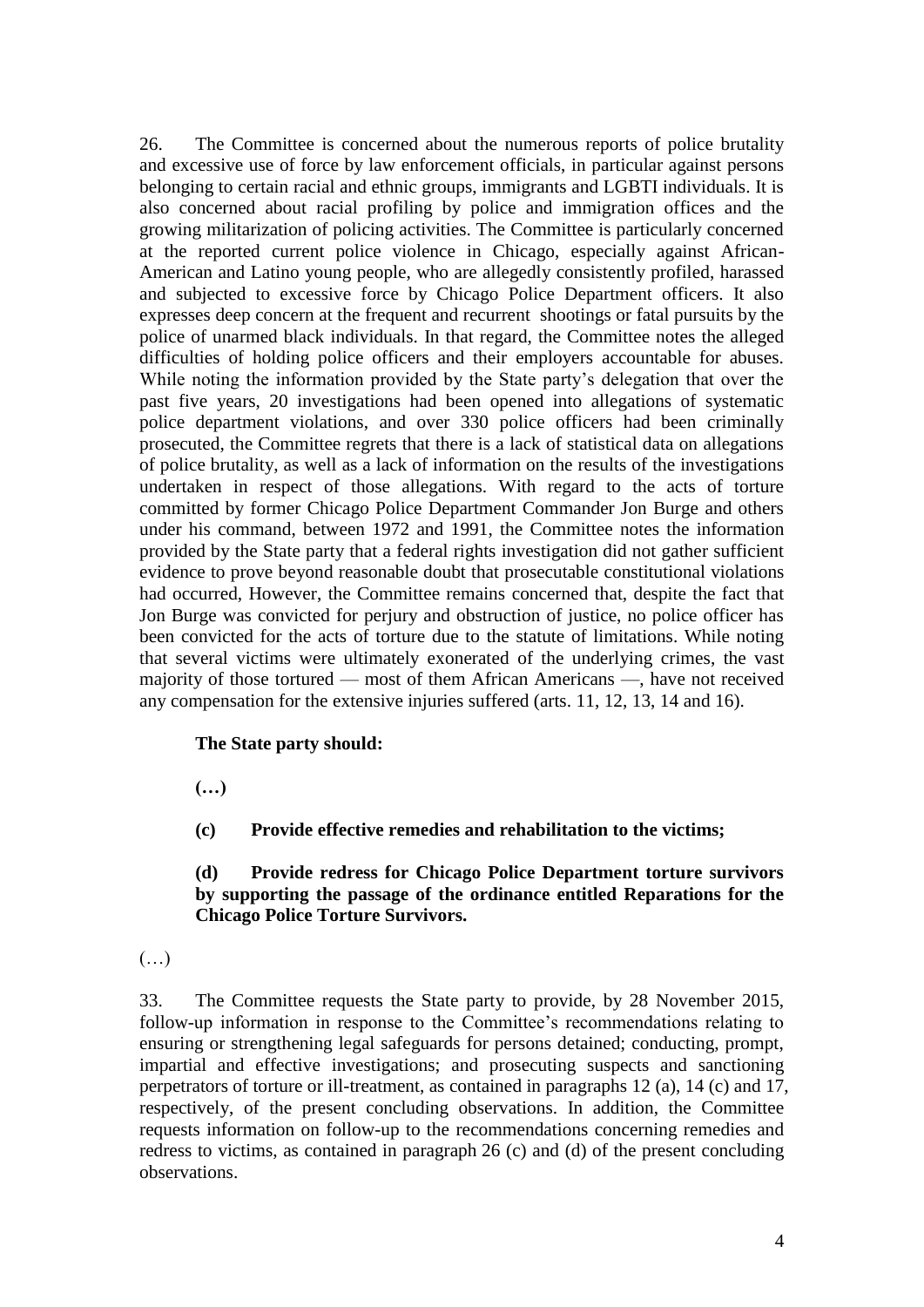26. The Committee is concerned about the numerous reports of police brutality and excessive use of force by law enforcement officials, in particular against persons belonging to certain racial and ethnic groups, immigrants and LGBTI individuals. It is also concerned about racial profiling by police and immigration offices and the growing militarization of policing activities. The Committee is particularly concerned at the reported current police violence in Chicago, especially against African-American and Latino young people, who are allegedly consistently profiled, harassed and subjected to excessive force by Chicago Police Department officers. It also expresses deep concern at the frequent and recurrent shootings or fatal pursuits by the police of unarmed black individuals. In that regard, the Committee notes the alleged difficulties of holding police officers and their employers accountable for abuses. While noting the information provided by the State party's delegation that over the past five years, 20 investigations had been opened into allegations of systematic police department violations, and over 330 police officers had been criminally prosecuted, the Committee regrets that there is a lack of statistical data on allegations of police brutality, as well as a lack of information on the results of the investigations undertaken in respect of those allegations. With regard to the acts of torture committed by former Chicago Police Department Commander Jon Burge and others under his command, between 1972 and 1991, the Committee notes the information provided by the State party that a federal rights investigation did not gather sufficient evidence to prove beyond reasonable doubt that prosecutable constitutional violations had occurred, However, the Committee remains concerned that, despite the fact that Jon Burge was convicted for perjury and obstruction of justice, no police officer has been convicted for the acts of torture due to the statute of limitations. While noting that several victims were ultimately exonerated of the underlying crimes, the vast majority of those tortured — most of them African Americans —, have not received any compensation for the extensive injuries suffered (arts. 11, 12, 13, 14 and 16).

#### **The State party should:**

**(…)**

**(c) Provide effective remedies and rehabilitation to the victims;**

### **(d) Provide redress for Chicago Police Department torture survivors by supporting the passage of the ordinance entitled Reparations for the Chicago Police Torture Survivors.**

(…)

33. The Committee requests the State party to provide, by 28 November 2015, follow-up information in response to the Committee's recommendations relating to ensuring or strengthening legal safeguards for persons detained; conducting, prompt, impartial and effective investigations; and prosecuting suspects and sanctioning perpetrators of torture or ill-treatment, as contained in paragraphs 12 (a), 14 (c) and 17, respectively, of the present concluding observations. In addition, the Committee requests information on follow-up to the recommendations concerning remedies and redress to victims, as contained in paragraph 26 (c) and (d) of the present concluding observations.